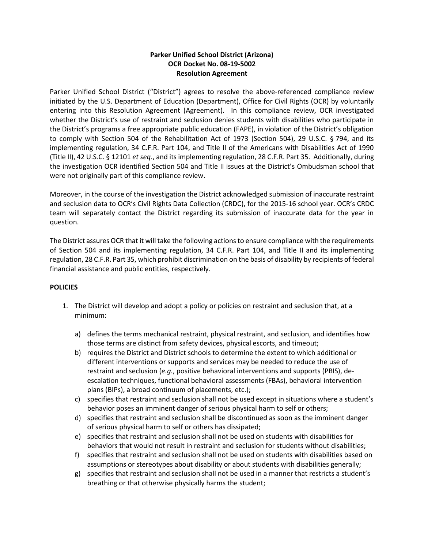# **Parker Unified School District (Arizona) OCR Docket No. 08-19-5002 Resolution Agreement**

Parker Unified School District ("District") agrees to resolve the above-referenced compliance review initiated by the U.S. Department of Education (Department), Office for Civil Rights (OCR) by voluntarily entering into this Resolution Agreement (Agreement). In this compliance review, OCR investigated whether the District's use of restraint and seclusion denies students with disabilities who participate in the District's programs a free appropriate public education (FAPE), in violation of the District's obligation to comply with Section 504 of the Rehabilitation Act of 1973 (Section 504), 29 U.S.C. § 794, and its implementing regulation, 34 C.F.R. Part 104, and Title II of the Americans with Disabilities Act of 1990 (Title II), 42 U.S.C. § 12101 *et seq*., and its implementing regulation, 28 C.F.R. Part 35. Additionally, during the investigation OCR identified Section 504 and Title II issues at the District's Ombudsman school that were not originally part of this compliance review.

Moreover, in the course of the investigation the District acknowledged submission of inaccurate restraint and seclusion data to OCR's Civil Rights Data Collection (CRDC), for the 2015-16 school year. OCR's CRDC team will separately contact the District regarding its submission of inaccurate data for the year in question.

The District assures OCR that it will take the following actions to ensure compliance with the requirements of Section 504 and its implementing regulation, 34 C.F.R. Part 104, and Title II and its implementing regulation, 28 C.F.R. Part 35, which prohibit discrimination on the basis of disability by recipients of federal financial assistance and public entities, respectively.

## **POLICIES**

- 1. The District will develop and adopt a policy or policies on restraint and seclusion that, at a minimum:
	- a) defines the terms mechanical restraint, physical restraint, and seclusion, and identifies how those terms are distinct from safety devices, physical escorts, and timeout;
	- b) requires the District and District schools to determine the extent to which additional or different interventions or supports and services may be needed to reduce the use of restraint and seclusion (*e.g.*, positive behavioral interventions and supports (PBIS), deescalation techniques, functional behavioral assessments (FBAs), behavioral intervention plans (BIPs), a broad continuum of placements, etc.);
	- c) specifies that restraint and seclusion shall not be used except in situations where a student's behavior poses an imminent danger of serious physical harm to self or others;
	- d) specifies that restraint and seclusion shall be discontinued as soon as the imminent danger of serious physical harm to self or others has dissipated;
	- e) specifies that restraint and seclusion shall not be used on students with disabilities for behaviors that would not result in restraint and seclusion for students without disabilities;
	- f) specifies that restraint and seclusion shall not be used on students with disabilities based on assumptions or stereotypes about disability or about students with disabilities generally;
	- g) specifies that restraint and seclusion shall not be used in a manner that restricts a student's breathing or that otherwise physically harms the student;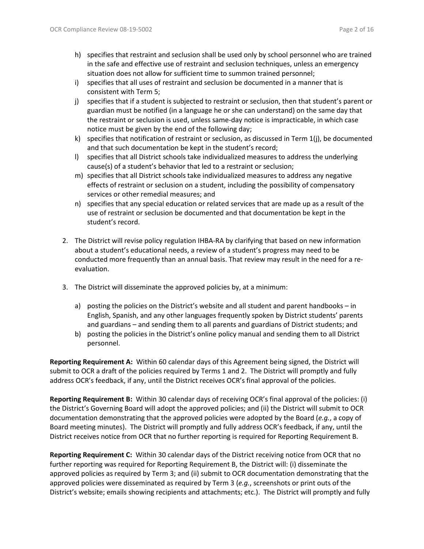- h) specifies that restraint and seclusion shall be used only by school personnel who are trained in the safe and effective use of restraint and seclusion techniques, unless an emergency situation does not allow for sufficient time to summon trained personnel;
- i) specifies that all uses of restraint and seclusion be documented in a manner that is consistent with Term 5;
- j) specifies that if a student is subjected to restraint or seclusion, then that student's parent or guardian must be notified (in a language he or she can understand) on the same day that the restraint or seclusion is used, unless same-day notice is impracticable, in which case notice must be given by the end of the following day;
- k) specifies that notification of restraint or seclusion, as discussed in Term  $1(i)$ , be documented and that such documentation be kept in the student's record;
- l) specifies that all District schools take individualized measures to address the underlying cause(s) of a student's behavior that led to a restraint or seclusion;
- m) specifies that all District schools take individualized measures to address any negative effects of restraint or seclusion on a student, including the possibility of compensatory services or other remedial measures; and
- n) specifies that any special education or related services that are made up as a result of the use of restraint or seclusion be documented and that documentation be kept in the student's record.
- 2. The District will revise policy regulation IHBA-RA by clarifying that based on new information about a student's educational needs, a review of a student's progress may need to be conducted more frequently than an annual basis. That review may result in the need for a reevaluation.
- 3. The District will disseminate the approved policies by, at a minimum:
	- a) posting the policies on the District's website and all student and parent handbooks in English, Spanish, and any other languages frequently spoken by District students' parents and guardians – and sending them to all parents and guardians of District students; and
	- b) posting the policies in the District's online policy manual and sending them to all District personnel.

**Reporting Requirement A:** Within 60 calendar days of this Agreement being signed, the District will submit to OCR a draft of the policies required by Terms 1 and 2. The District will promptly and fully address OCR's feedback, if any, until the District receives OCR's final approval of the policies.

**Reporting Requirement B:** Within 30 calendar days of receiving OCR's final approval of the policies: (i) the District's Governing Board will adopt the approved policies; and (ii) the District will submit to OCR documentation demonstrating that the approved policies were adopted by the Board (*e.g.*, a copy of Board meeting minutes). The District will promptly and fully address OCR's feedback, if any, until the District receives notice from OCR that no further reporting is required for Reporting Requirement B.

**Reporting Requirement C:** Within 30 calendar days of the District receiving notice from OCR that no further reporting was required for Reporting Requirement B, the District will: (i) disseminate the approved policies as required by Term 3; and (ii) submit to OCR documentation demonstrating that the approved policies were disseminated as required by Term 3 (*e.g.*, screenshots or print outs of the District's website; emails showing recipients and attachments; etc.). The District will promptly and fully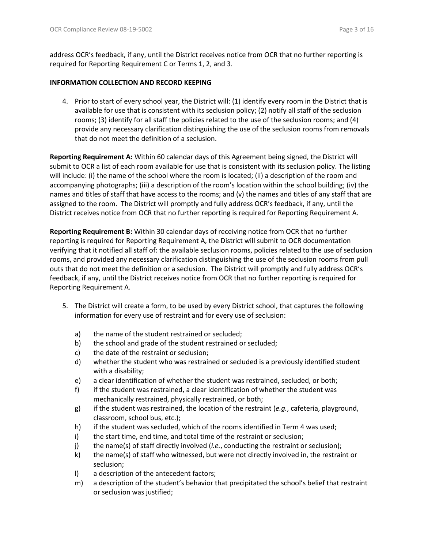address OCR's feedback, if any, until the District receives notice from OCR that no further reporting is required for Reporting Requirement C or Terms 1, 2, and 3.

### **INFORMATION COLLECTION AND RECORD KEEPING**

4. Prior to start of every school year, the District will: (1) identify every room in the District that is available for use that is consistent with its seclusion policy; (2) notify all staff of the seclusion rooms; (3) identify for all staff the policies related to the use of the seclusion rooms; and (4) provide any necessary clarification distinguishing the use of the seclusion rooms from removals that do not meet the definition of a seclusion.

**Reporting Requirement A:** Within 60 calendar days of this Agreement being signed, the District will submit to OCR a list of each room available for use that is consistent with its seclusion policy. The listing will include: (i) the name of the school where the room is located; (ii) a description of the room and accompanying photographs; (iii) a description of the room's location within the school building; (iv) the names and titles of staff that have access to the rooms; and (v) the names and titles of any staff that are assigned to the room. The District will promptly and fully address OCR's feedback, if any, until the District receives notice from OCR that no further reporting is required for Reporting Requirement A.

**Reporting Requirement B:** Within 30 calendar days of receiving notice from OCR that no further reporting is required for Reporting Requirement A, the District will submit to OCR documentation verifying that it notified all staff of: the available seclusion rooms, policies related to the use of seclusion rooms, and provided any necessary clarification distinguishing the use of the seclusion rooms from pull outs that do not meet the definition or a seclusion. The District will promptly and fully address OCR's feedback, if any, until the District receives notice from OCR that no further reporting is required for Reporting Requirement A.

- 5. The District will create a form, to be used by every District school, that captures the following information for every use of restraint and for every use of seclusion:
	- a) the name of the student restrained or secluded;
	- b) the school and grade of the student restrained or secluded;
	- c) the date of the restraint or seclusion;
	- d) whether the student who was restrained or secluded is a previously identified student with a disability;
	- e) a clear identification of whether the student was restrained, secluded, or both;
	- f) if the student was restrained, a clear identification of whether the student was mechanically restrained, physically restrained, or both;
	- g) if the student was restrained, the location of the restraint (*e.g.*, cafeteria, playground, classroom, school bus, etc.);
	- h) if the student was secluded, which of the rooms identified in Term 4 was used;
	- i) the start time, end time, and total time of the restraint or seclusion;
	- j) the name(s) of staff directly involved (*i.e.*, conducting the restraint or seclusion);
	- k) the name(s) of staff who witnessed, but were not directly involved in, the restraint or seclusion;
	- l) a description of the antecedent factors;
	- m) a description of the student's behavior that precipitated the school's belief that restraint or seclusion was justified;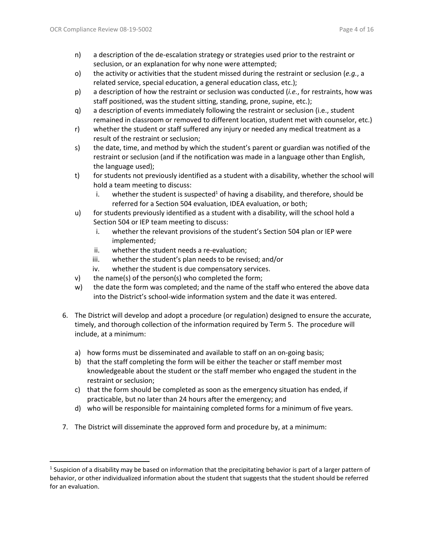- n) a description of the de-escalation strategy or strategies used prior to the restraint or seclusion, or an explanation for why none were attempted;
- o) the activity or activities that the student missed during the restraint or seclusion (*e.g.*, a related service, special education, a general education class, etc.);
- p) a description of how the restraint or seclusion was conducted (*i.e.*, for restraints, how was staff positioned, was the student sitting, standing, prone, supine, etc.);
- q) a description of events immediately following the restraint or seclusion (i.e., student remained in classroom or removed to different location, student met with counselor, etc.)
- r) whether the student or staff suffered any injury or needed any medical treatment as a result of the restraint or seclusion;
- s) the date, time, and method by which the student's parent or guardian was notified of the restraint or seclusion (and if the notification was made in a language other than English, the language used);
- t) for students not previously identified as a student with a disability, whether the school will hold a team meeting to discuss:
	- i. whether the student is suspected<sup>1</sup> of having a disability, and therefore, should be referred for a Section 504 evaluation, IDEA evaluation, or both;
- u) for students previously identified as a student with a disability, will the school hold a Section 504 or IEP team meeting to discuss:
	- i. whether the relevant provisions of the student's Section 504 plan or IEP were implemented;
	- ii. whether the student needs a re-evaluation;
	- iii. whether the student's plan needs to be revised; and/or
	- iv. whether the student is due compensatory services.
- v) the name(s) of the person(s) who completed the form;
- w) the date the form was completed; and the name of the staff who entered the above data into the District's school-wide information system and the date it was entered.
- 6. The District will develop and adopt a procedure (or regulation) designed to ensure the accurate, timely, and thorough collection of the information required by Term 5. The procedure will include, at a minimum:
	- a) how forms must be disseminated and available to staff on an on-going basis;
	- b) that the staff completing the form will be either the teacher or staff member most knowledgeable about the student or the staff member who engaged the student in the restraint or seclusion;
	- c) that the form should be completed as soon as the emergency situation has ended, if practicable, but no later than 24 hours after the emergency; and
	- d) who will be responsible for maintaining completed forms for a minimum of five years.
- 7. The District will disseminate the approved form and procedure by, at a minimum:

<sup>&</sup>lt;sup>1</sup> Suspicion of a disability may be based on information that the precipitating behavior is part of a larger pattern of behavior, or other individualized information about the student that suggests that the student should be referred for an evaluation.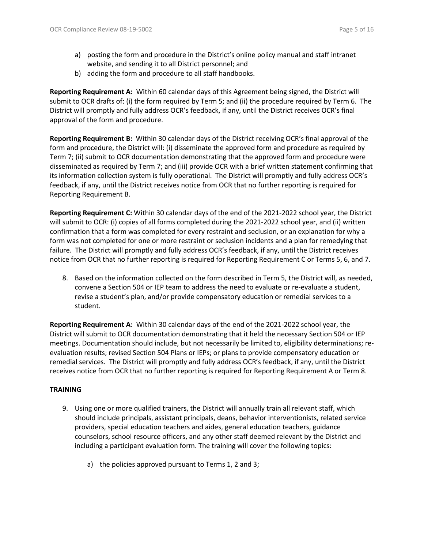- a) posting the form and procedure in the District's online policy manual and staff intranet website, and sending it to all District personnel; and
- b) adding the form and procedure to all staff handbooks.

**Reporting Requirement A:** Within 60 calendar days of this Agreement being signed, the District will submit to OCR drafts of: (i) the form required by Term 5; and (ii) the procedure required by Term 6. The District will promptly and fully address OCR's feedback, if any, until the District receives OCR's final approval of the form and procedure.

**Reporting Requirement B:** Within 30 calendar days of the District receiving OCR's final approval of the form and procedure, the District will: (i) disseminate the approved form and procedure as required by Term 7; (ii) submit to OCR documentation demonstrating that the approved form and procedure were disseminated as required by Term 7; and (iii) provide OCR with a brief written statement confirming that its information collection system is fully operational. The District will promptly and fully address OCR's feedback, if any, until the District receives notice from OCR that no further reporting is required for Reporting Requirement B.

**Reporting Requirement C:** Within 30 calendar days of the end of the 2021-2022 school year, the District will submit to OCR: (i) copies of all forms completed during the 2021-2022 school year, and (ii) written confirmation that a form was completed for every restraint and seclusion, or an explanation for why a form was not completed for one or more restraint or seclusion incidents and a plan for remedying that failure. The District will promptly and fully address OCR's feedback, if any, until the District receives notice from OCR that no further reporting is required for Reporting Requirement C or Terms 5, 6, and 7.

8. Based on the information collected on the form described in Term 5, the District will, as needed, convene a Section 504 or IEP team to address the need to evaluate or re-evaluate a student, revise a student's plan, and/or provide compensatory education or remedial services to a student.

**Reporting Requirement A:** Within 30 calendar days of the end of the 2021-2022 school year, the District will submit to OCR documentation demonstrating that it held the necessary Section 504 or IEP meetings. Documentation should include, but not necessarily be limited to, eligibility determinations; reevaluation results; revised Section 504 Plans or IEPs; or plans to provide compensatory education or remedial services. The District will promptly and fully address OCR's feedback, if any, until the District receives notice from OCR that no further reporting is required for Reporting Requirement A or Term 8.

### **TRAINING**

- 9. Using one or more qualified trainers, the District will annually train all relevant staff, which should include principals, assistant principals, deans, behavior interventionists, related service providers, special education teachers and aides, general education teachers, guidance counselors, school resource officers, and any other staff deemed relevant by the District and including a participant evaluation form. The training will cover the following topics:
	- a) the policies approved pursuant to Terms 1, 2 and 3;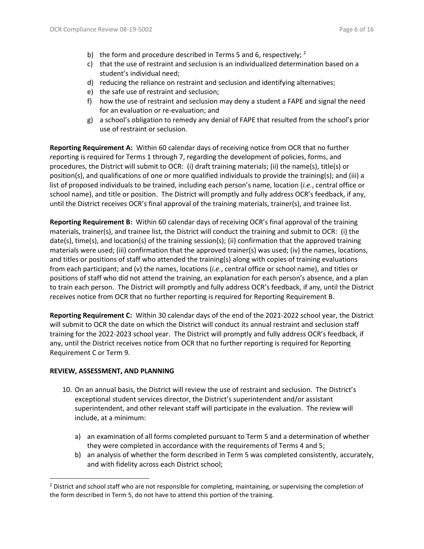- b) the form and procedure described in Terms 5 and 6, respectively;  $^2$
- c) that the use of restraint and seclusion is an individualized determination based on a student's individual need;
- d) reducing the reliance on restraint and seclusion and identifying alternatives;
- e) the safe use of restraint and seclusion;
- f) how the use of restraint and seclusion may deny a student a FAPE and signal the need for an evaluation or re-evaluation; and
- g) a school's obligation to remedy any denial of FAPE that resulted from the school's prior use of restraint or seclusion.

**Reporting Requirement A:** Within 60 calendar days of receiving notice from OCR that no further reporting is required for Terms 1 through 7, regarding the development of policies, forms, and procedures, the District will submit to OCR: (i) draft training materials; (ii) the name(s), title(s) or position(s), and qualifications of one or more qualified individuals to provide the training(s); and (iii) a list of proposed individuals to be trained, including each person's name, location (*i.e.*, central office or school name), and title or position. The District will promptly and fully address OCR's feedback, if any, until the District receives OCR's final approval of the training materials, trainer(s), and trainee list.

**Reporting Requirement B:** Within 60 calendar days of receiving OCR's final approval of the training materials, trainer(s), and trainee list, the District will conduct the training and submit to OCR: (i) the date(s), time(s), and location(s) of the training session(s); (ii) confirmation that the approved training materials were used; (iii) confirmation that the approved trainer(s) was used; (iv) the names, locations, and titles or positions of staff who attended the training(s) along with copies of training evaluations from each participant; and (v) the names, locations (*i.e.*, central office or school name), and titles or positions of staff who did not attend the training, an explanation for each person's absence, and a plan to train each person. The District will promptly and fully address OCR's feedback, if any, until the District receives notice from OCR that no further reporting is required for Reporting Requirement B.

**Reporting Requirement C:** Within 30 calendar days of the end of the 2021-2022 school year, the District will submit to OCR the date on which the District will conduct its annual restraint and seclusion staff training for the 2022-2023 school year. The District will promptly and fully address OCR's feedback, if any, until the District receives notice from OCR that no further reporting is required for Reporting Requirement C or Term 9.

## **REVIEW, ASSESSMENT, AND PLANNING**

- 10. On an annual basis, the District will review the use of restraint and seclusion. The District's exceptional student services director, the District's superintendent and/or assistant superintendent, and other relevant staff will participate in the evaluation. The review will include, at a minimum:
	- a) an examination of all forms completed pursuant to Term 5 and a determination of whether they were completed in accordance with the requirements of Terms 4 and 5;
	- b) an analysis of whether the form described in Term 5 was completed consistently, accurately, and with fidelity across each District school;

 $<sup>2</sup>$  District and school staff who are not responsible for completing, maintaining, or supervising the completion of</sup> the form described in Term 5, do not have to attend this portion of the training.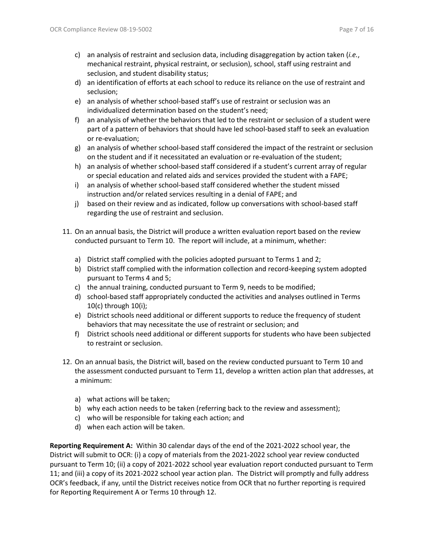- c) an analysis of restraint and seclusion data, including disaggregation by action taken (*i.e.*, mechanical restraint, physical restraint, or seclusion), school, staff using restraint and seclusion, and student disability status;
- d) an identification of efforts at each school to reduce its reliance on the use of restraint and seclusion;
- e) an analysis of whether school-based staff's use of restraint or seclusion was an individualized determination based on the student's need;
- f) an analysis of whether the behaviors that led to the restraint or seclusion of a student were part of a pattern of behaviors that should have led school-based staff to seek an evaluation or re-evaluation;
- g) an analysis of whether school-based staff considered the impact of the restraint or seclusion on the student and if it necessitated an evaluation or re-evaluation of the student;
- h) an analysis of whether school-based staff considered if a student's current array of regular or special education and related aids and services provided the student with a FAPE;
- i) an analysis of whether school-based staff considered whether the student missed instruction and/or related services resulting in a denial of FAPE; and
- j) based on their review and as indicated, follow up conversations with school-based staff regarding the use of restraint and seclusion.
- 11. On an annual basis, the District will produce a written evaluation report based on the review conducted pursuant to Term 10. The report will include, at a minimum, whether:
	- a) District staff complied with the policies adopted pursuant to Terms 1 and 2;
	- b) District staff complied with the information collection and record-keeping system adopted pursuant to Terms 4 and 5;
	- c) the annual training, conducted pursuant to Term 9, needs to be modified;
	- d) school-based staff appropriately conducted the activities and analyses outlined in Terms 10(c) through 10(i);
	- e) District schools need additional or different supports to reduce the frequency of student behaviors that may necessitate the use of restraint or seclusion; and
	- f) District schools need additional or different supports for students who have been subjected to restraint or seclusion.
- 12. On an annual basis, the District will, based on the review conducted pursuant to Term 10 and the assessment conducted pursuant to Term 11, develop a written action plan that addresses, at a minimum:
	- a) what actions will be taken;
	- b) why each action needs to be taken (referring back to the review and assessment);
	- c) who will be responsible for taking each action; and
	- d) when each action will be taken.

**Reporting Requirement A:** Within 30 calendar days of the end of the 2021-2022 school year, the District will submit to OCR: (i) a copy of materials from the 2021-2022 school year review conducted pursuant to Term 10; (ii) a copy of 2021-2022 school year evaluation report conducted pursuant to Term 11; and (iii) a copy of its 2021-2022 school year action plan. The District will promptly and fully address OCR's feedback, if any, until the District receives notice from OCR that no further reporting is required for Reporting Requirement A or Terms 10 through 12.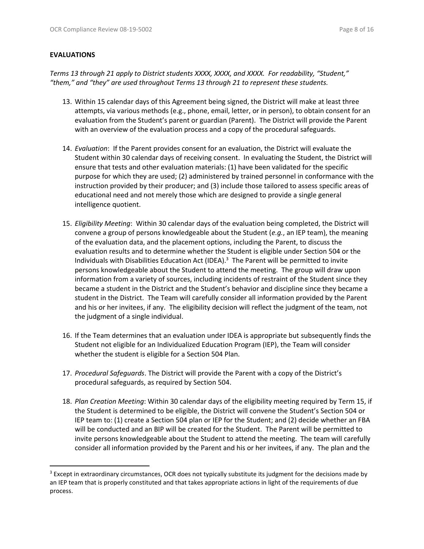### **EVALUATIONS**

*Terms 13 through 21 apply to District students XXXX, XXXX, and XXXX. For readability, "Student," "them," and "they" are used throughout Terms 13 through 21 to represent these students.*

- 13. Within 15 calendar days of this Agreement being signed, the District will make at least three attempts, via various methods (e.g., phone, email, letter, or in person), to obtain consent for an evaluation from the Student's parent or guardian (Parent). The District will provide the Parent with an overview of the evaluation process and a copy of the procedural safeguards.
- 14. *Evaluation*: If the Parent provides consent for an evaluation, the District will evaluate the Student within 30 calendar days of receiving consent. In evaluating the Student, the District will ensure that tests and other evaluation materials: (1) have been validated for the specific purpose for which they are used; (2) administered by trained personnel in conformance with the instruction provided by their producer; and (3) include those tailored to assess specific areas of educational need and not merely those which are designed to provide a single general intelligence quotient.
- 15. *Eligibility Meeting*: Within 30 calendar days of the evaluation being completed, the District will convene a group of persons knowledgeable about the Student (*e.g.*, an IEP team), the meaning of the evaluation data, and the placement options, including the Parent, to discuss the evaluation results and to determine whether the Student is eligible under Section 504 or the Individuals with Disabilities Education Act (IDEA). $3$  The Parent will be permitted to invite persons knowledgeable about the Student to attend the meeting. The group will draw upon information from a variety of sources, including incidents of restraint of the Student since they became a student in the District and the Student's behavior and discipline since they became a student in the District. The Team will carefully consider all information provided by the Parent and his or her invitees, if any. The eligibility decision will reflect the judgment of the team, not the judgment of a single individual.
- 16. If the Team determines that an evaluation under IDEA is appropriate but subsequently finds the Student not eligible for an Individualized Education Program (IEP), the Team will consider whether the student is eligible for a Section 504 Plan.
- 17. *Procedural Safeguards*. The District will provide the Parent with a copy of the District's procedural safeguards, as required by Section 504.
- 18. *Plan Creation Meeting*: Within 30 calendar days of the eligibility meeting required by Term 15, if the Student is determined to be eligible, the District will convene the Student's Section 504 or IEP team to: (1) create a Section 504 plan or IEP for the Student; and (2) decide whether an FBA will be conducted and an BIP will be created for the Student. The Parent will be permitted to invite persons knowledgeable about the Student to attend the meeting. The team will carefully consider all information provided by the Parent and his or her invitees, if any. The plan and the

<sup>&</sup>lt;sup>3</sup> Except in extraordinary circumstances, OCR does not typically substitute its judgment for the decisions made by an IEP team that is properly constituted and that takes appropriate actions in light of the requirements of due process.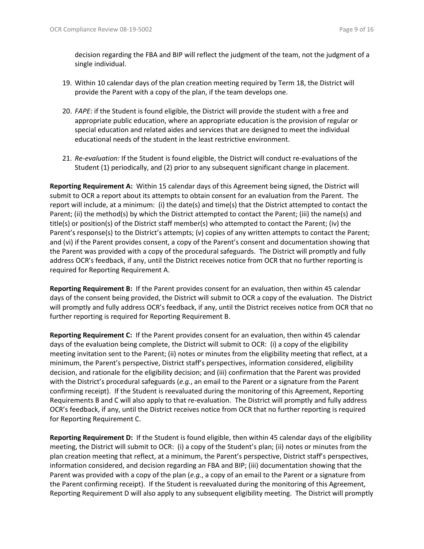decision regarding the FBA and BIP will reflect the judgment of the team, not the judgment of a single individual.

- 19. Within 10 calendar days of the plan creation meeting required by Term 18, the District will provide the Parent with a copy of the plan, if the team develops one.
- 20. *FAPE*: if the Student is found eligible, the District will provide the student with a free and appropriate public education, where an appropriate education is the provision of regular or special education and related aides and services that are designed to meet the individual educational needs of the student in the least restrictive environment.
- 21. *Re-evaluation:* If the Student is found eligible, the District will conduct re-evaluations of the Student (1) periodically, and (2) prior to any subsequent significant change in placement.

**Reporting Requirement A:** Within 15 calendar days of this Agreement being signed, the District will submit to OCR a report about its attempts to obtain consent for an evaluation from the Parent. The report will include, at a minimum: (i) the date(s) and time(s) that the District attempted to contact the Parent; (ii) the method(s) by which the District attempted to contact the Parent; (iii) the name(s) and title(s) or position(s) of the District staff member(s) who attempted to contact the Parent; (iv) the Parent's response(s) to the District's attempts; (v) copies of any written attempts to contact the Parent; and (vi) if the Parent provides consent, a copy of the Parent's consent and documentation showing that the Parent was provided with a copy of the procedural safeguards. The District will promptly and fully address OCR's feedback, if any, until the District receives notice from OCR that no further reporting is required for Reporting Requirement A.

**Reporting Requirement B:** If the Parent provides consent for an evaluation, then within 45 calendar days of the consent being provided, the District will submit to OCR a copy of the evaluation. The District will promptly and fully address OCR's feedback, if any, until the District receives notice from OCR that no further reporting is required for Reporting Requirement B.

**Reporting Requirement C:** If the Parent provides consent for an evaluation, then within 45 calendar days of the evaluation being complete, the District will submit to OCR: (i) a copy of the eligibility meeting invitation sent to the Parent; (ii) notes or minutes from the eligibility meeting that reflect, at a minimum, the Parent's perspective, District staff's perspectives, information considered, eligibility decision, and rationale for the eligibility decision; and (iii) confirmation that the Parent was provided with the District's procedural safeguards (*e.g.*, an email to the Parent or a signature from the Parent confirming receipt). If the Student is reevaluated during the monitoring of this Agreement, Reporting Requirements B and C will also apply to that re-evaluation. The District will promptly and fully address OCR's feedback, if any, until the District receives notice from OCR that no further reporting is required for Reporting Requirement C.

**Reporting Requirement D:** If the Student is found eligible, then within 45 calendar days of the eligibility meeting, the District will submit to OCR: (i) a copy of the Student's plan; (ii) notes or minutes from the plan creation meeting that reflect, at a minimum, the Parent's perspective, District staff's perspectives, information considered, and decision regarding an FBA and BIP; (iii) documentation showing that the Parent was provided with a copy of the plan (*e.g.*, a copy of an email to the Parent or a signature from the Parent confirming receipt). If the Student is reevaluated during the monitoring of this Agreement, Reporting Requirement D will also apply to any subsequent eligibility meeting. The District will promptly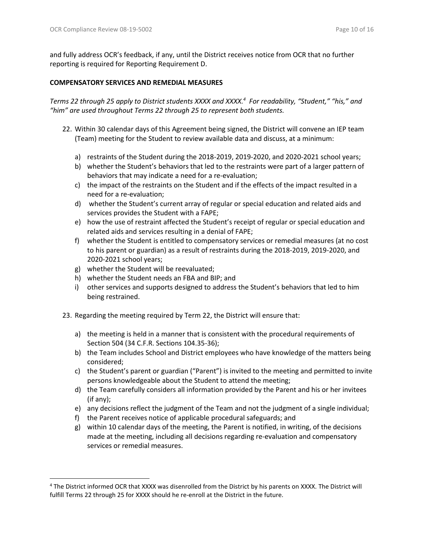and fully address OCR's feedback, if any, until the District receives notice from OCR that no further reporting is required for Reporting Requirement D.

### **COMPENSATORY SERVICES AND REMEDIAL MEASURES**

*Terms 22 through 25 apply to District students XXXX and XXXX. 4 For readability, "Student," "his," and "him" are used throughout Terms 22 through 25 to represent both students.*

- 22. Within 30 calendar days of this Agreement being signed, the District will convene an IEP team (Team) meeting for the Student to review available data and discuss, at a minimum:
	- a) restraints of the Student during the 2018-2019, 2019-2020, and 2020-2021 school years;
	- b) whether the Student's behaviors that led to the restraints were part of a larger pattern of behaviors that may indicate a need for a re-evaluation;
	- c) the impact of the restraints on the Student and if the effects of the impact resulted in a need for a re-evaluation;
	- d) whether the Student's current array of regular or special education and related aids and services provides the Student with a FAPE;
	- e) how the use of restraint affected the Student's receipt of regular or special education and related aids and services resulting in a denial of FAPE;
	- f) whether the Student is entitled to compensatory services or remedial measures (at no cost to his parent or guardian) as a result of restraints during the 2018-2019, 2019-2020, and 2020-2021 school years;
	- g) whether the Student will be reevaluated;
	- h) whether the Student needs an FBA and BIP; and
	- i) other services and supports designed to address the Student's behaviors that led to him being restrained.
- 23. Regarding the meeting required by Term 22, the District will ensure that:
	- a) the meeting is held in a manner that is consistent with the procedural requirements of Section 504 (34 C.F.R. Sections 104.35-36);
	- b) the Team includes School and District employees who have knowledge of the matters being considered;
	- c) the Student's parent or guardian ("Parent") is invited to the meeting and permitted to invite persons knowledgeable about the Student to attend the meeting;
	- d) the Team carefully considers all information provided by the Parent and his or her invitees (if any);
	- e) any decisions reflect the judgment of the Team and not the judgment of a single individual;
	- f) the Parent receives notice of applicable procedural safeguards; and
	- g) within 10 calendar days of the meeting, the Parent is notified, in writing, of the decisions made at the meeting, including all decisions regarding re-evaluation and compensatory services or remedial measures.

<sup>4</sup> The District informed OCR that XXXX was disenrolled from the District by his parents on XXXX. The District will fulfill Terms 22 through 25 for XXXX should he re-enroll at the District in the future.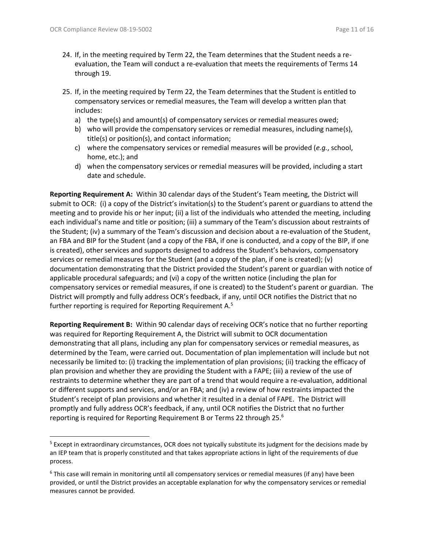- 24. If, in the meeting required by Term 22, the Team determines that the Student needs a reevaluation, the Team will conduct a re-evaluation that meets the requirements of Terms 14 through 19.
- 25. If, in the meeting required by Term 22, the Team determines that the Student is entitled to compensatory services or remedial measures, the Team will develop a written plan that includes:
	- a) the type(s) and amount(s) of compensatory services or remedial measures owed;
	- b) who will provide the compensatory services or remedial measures, including name(s), title(s) or position(s), and contact information;
	- c) where the compensatory services or remedial measures will be provided (*e.g.*, school, home, etc.); and
	- d) when the compensatory services or remedial measures will be provided, including a start date and schedule.

**Reporting Requirement A:** Within 30 calendar days of the Student's Team meeting, the District will submit to OCR: (i) a copy of the District's invitation(s) to the Student's parent or guardians to attend the meeting and to provide his or her input; (ii) a list of the individuals who attended the meeting, including each individual's name and title or position; (iii) a summary of the Team's discussion about restraints of the Student; (iv) a summary of the Team's discussion and decision about a re-evaluation of the Student, an FBA and BIP for the Student (and a copy of the FBA, if one is conducted, and a copy of the BIP, if one is created), other services and supports designed to address the Student's behaviors, compensatory services or remedial measures for the Student (and a copy of the plan, if one is created); (v) documentation demonstrating that the District provided the Student's parent or guardian with notice of applicable procedural safeguards; and (vi) a copy of the written notice (including the plan for compensatory services or remedial measures, if one is created) to the Student's parent or guardian. The District will promptly and fully address OCR's feedback, if any, until OCR notifies the District that no further reporting is required for Reporting Requirement A.<sup>5</sup>

**Reporting Requirement B:** Within 90 calendar days of receiving OCR's notice that no further reporting was required for Reporting Requirement A, the District will submit to OCR documentation demonstrating that all plans, including any plan for compensatory services or remedial measures, as determined by the Team, were carried out. Documentation of plan implementation will include but not necessarily be limited to: (i) tracking the implementation of plan provisions; (ii) tracking the efficacy of plan provision and whether they are providing the Student with a FAPE; (iii) a review of the use of restraints to determine whether they are part of a trend that would require a re-evaluation, additional or different supports and services, and/or an FBA; and (iv) a review of how restraints impacted the Student's receipt of plan provisions and whether it resulted in a denial of FAPE. The District will promptly and fully address OCR's feedback, if any, until OCR notifies the District that no further reporting is required for Reporting Requirement B or Terms 22 through 25. 6

<sup>&</sup>lt;sup>5</sup> Except in extraordinary circumstances, OCR does not typically substitute its judgment for the decisions made by an IEP team that is properly constituted and that takes appropriate actions in light of the requirements of due process.

<sup>&</sup>lt;sup>6</sup> This case will remain in monitoring until all compensatory services or remedial measures (if any) have been provided, or until the District provides an acceptable explanation for why the compensatory services or remedial measures cannot be provided.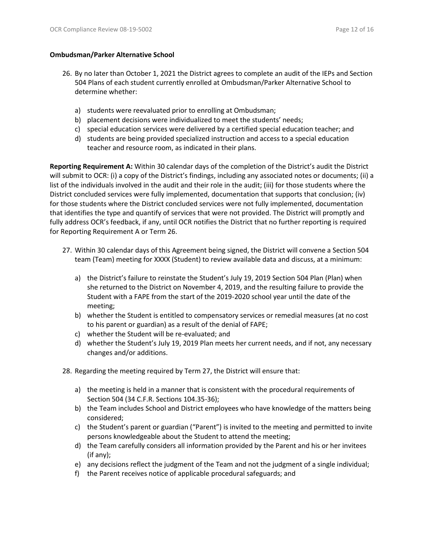#### **Ombudsman/Parker Alternative School**

- 26. By no later than October 1, 2021 the District agrees to complete an audit of the IEPs and Section 504 Plans of each student currently enrolled at Ombudsman/Parker Alternative School to determine whether:
	- a) students were reevaluated prior to enrolling at Ombudsman;
	- b) placement decisions were individualized to meet the students' needs;
	- c) special education services were delivered by a certified special education teacher; and
	- d) students are being provided specialized instruction and access to a special education teacher and resource room, as indicated in their plans.

**Reporting Requirement A:** Within 30 calendar days of the completion of the District's audit the District will submit to OCR: (i) a copy of the District's findings, including any associated notes or documents; (ii) a list of the individuals involved in the audit and their role in the audit; (iii) for those students where the District concluded services were fully implemented, documentation that supports that conclusion; (iv) for those students where the District concluded services were not fully implemented, documentation that identifies the type and quantify of services that were not provided. The District will promptly and fully address OCR's feedback, if any, until OCR notifies the District that no further reporting is required for Reporting Requirement A or Term 26.

- 27. Within 30 calendar days of this Agreement being signed, the District will convene a Section 504 team (Team) meeting for XXXX (Student) to review available data and discuss, at a minimum:
	- a) the District's failure to reinstate the Student's July 19, 2019 Section 504 Plan (Plan) when she returned to the District on November 4, 2019, and the resulting failure to provide the Student with a FAPE from the start of the 2019-2020 school year until the date of the meeting;
	- b) whether the Student is entitled to compensatory services or remedial measures (at no cost to his parent or guardian) as a result of the denial of FAPE;
	- c) whether the Student will be re-evaluated; and
	- d) whether the Student's July 19, 2019 Plan meets her current needs, and if not, any necessary changes and/or additions.
- 28. Regarding the meeting required by Term 27, the District will ensure that:
	- a) the meeting is held in a manner that is consistent with the procedural requirements of Section 504 (34 C.F.R. Sections 104.35-36);
	- b) the Team includes School and District employees who have knowledge of the matters being considered;
	- c) the Student's parent or guardian ("Parent") is invited to the meeting and permitted to invite persons knowledgeable about the Student to attend the meeting;
	- d) the Team carefully considers all information provided by the Parent and his or her invitees (if any);
	- e) any decisions reflect the judgment of the Team and not the judgment of a single individual;
	- f) the Parent receives notice of applicable procedural safeguards; and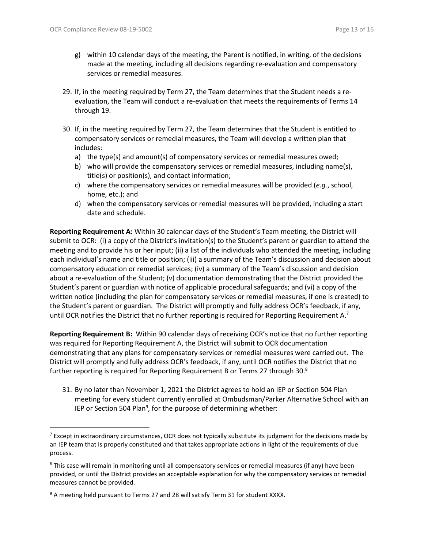- g) within 10 calendar days of the meeting, the Parent is notified, in writing, of the decisions made at the meeting, including all decisions regarding re-evaluation and compensatory services or remedial measures.
- 29. If, in the meeting required by Term 27, the Team determines that the Student needs a reevaluation, the Team will conduct a re-evaluation that meets the requirements of Terms 14 through 19.
- 30. If, in the meeting required by Term 27, the Team determines that the Student is entitled to compensatory services or remedial measures, the Team will develop a written plan that includes:
	- a) the type(s) and amount(s) of compensatory services or remedial measures owed;
	- b) who will provide the compensatory services or remedial measures, including name(s), title(s) or position(s), and contact information;
	- c) where the compensatory services or remedial measures will be provided (*e.g.*, school, home, etc.); and
	- d) when the compensatory services or remedial measures will be provided, including a start date and schedule.

**Reporting Requirement A:** Within 30 calendar days of the Student's Team meeting, the District will submit to OCR: (i) a copy of the District's invitation(s) to the Student's parent or guardian to attend the meeting and to provide his or her input; (ii) a list of the individuals who attended the meeting, including each individual's name and title or position; (iii) a summary of the Team's discussion and decision about compensatory education or remedial services; (iv) a summary of the Team's discussion and decision about a re-evaluation of the Student; (v) documentation demonstrating that the District provided the Student's parent or guardian with notice of applicable procedural safeguards; and (vi) a copy of the written notice (including the plan for compensatory services or remedial measures, if one is created) to the Student's parent or guardian. The District will promptly and fully address OCR's feedback, if any, until OCR notifies the District that no further reporting is required for Reporting Requirement A.<sup>7</sup>

**Reporting Requirement B:** Within 90 calendar days of receiving OCR's notice that no further reporting was required for Reporting Requirement A, the District will submit to OCR documentation demonstrating that any plans for compensatory services or remedial measures were carried out. The District will promptly and fully address OCR's feedback, if any, until OCR notifies the District that no further reporting is required for Reporting Requirement B or Terms 27 through 30. $^8$ 

31. By no later than November 1, 2021 the District agrees to hold an IEP or Section 504 Plan meeting for every student currently enrolled at Ombudsman/Parker Alternative School with an IEP or Section 504 Plan<sup>9</sup>, for the purpose of determining whether:

 $<sup>7</sup>$  Except in extraordinary circumstances, OCR does not typically substitute its judgment for the decisions made by</sup> an IEP team that is properly constituted and that takes appropriate actions in light of the requirements of due process.

<sup>&</sup>lt;sup>8</sup> This case will remain in monitoring until all compensatory services or remedial measures (if any) have been provided, or until the District provides an acceptable explanation for why the compensatory services or remedial measures cannot be provided.

<sup>&</sup>lt;sup>9</sup> A meeting held pursuant to Terms 27 and 28 will satisfy Term 31 for student XXXX.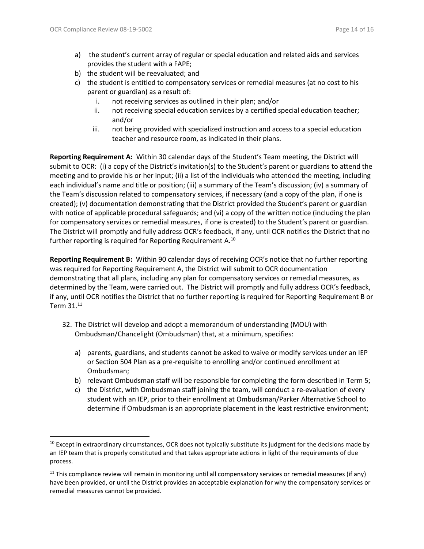- a) the student's current array of regular or special education and related aids and services provides the student with a FAPE;
- b) the student will be reevaluated; and
- c) the student is entitled to compensatory services or remedial measures (at no cost to his parent or guardian) as a result of:
	- i. not receiving services as outlined in their plan; and/or
	- ii. not receiving special education services by a certified special education teacher; and/or
	- iii. not being provided with specialized instruction and access to a special education teacher and resource room, as indicated in their plans.

**Reporting Requirement A:** Within 30 calendar days of the Student's Team meeting, the District will submit to OCR: (i) a copy of the District's invitation(s) to the Student's parent or guardians to attend the meeting and to provide his or her input; (ii) a list of the individuals who attended the meeting, including each individual's name and title or position; (iii) a summary of the Team's discussion; (iv) a summary of the Team's discussion related to compensatory services, if necessary (and a copy of the plan, if one is created); (v) documentation demonstrating that the District provided the Student's parent or guardian with notice of applicable procedural safeguards; and (vi) a copy of the written notice (including the plan for compensatory services or remedial measures, if one is created) to the Student's parent or guardian. The District will promptly and fully address OCR's feedback, if any, until OCR notifies the District that no further reporting is required for Reporting Requirement A.<sup>10</sup>

**Reporting Requirement B:** Within 90 calendar days of receiving OCR's notice that no further reporting was required for Reporting Requirement A, the District will submit to OCR documentation demonstrating that all plans, including any plan for compensatory services or remedial measures, as determined by the Team, were carried out. The District will promptly and fully address OCR's feedback, if any, until OCR notifies the District that no further reporting is required for Reporting Requirement B or Term  $31.^{11}$ 

- 32. The District will develop and adopt a memorandum of understanding (MOU) with Ombudsman/Chancelight (Ombudsman) that, at a minimum, specifies:
	- a) parents, guardians, and students cannot be asked to waive or modify services under an IEP or Section 504 Plan as a pre-requisite to enrolling and/or continued enrollment at Ombudsman;
	- b) relevant Ombudsman staff will be responsible for completing the form described in Term 5;
	- c) the District, with Ombudsman staff joining the team, will conduct a re-evaluation of every student with an IEP, prior to their enrollment at Ombudsman/Parker Alternative School to determine if Ombudsman is an appropriate placement in the least restrictive environment;

 $10$  Except in extraordinary circumstances, OCR does not typically substitute its judgment for the decisions made by an IEP team that is properly constituted and that takes appropriate actions in light of the requirements of due process.

 $11$  This compliance review will remain in monitoring until all compensatory services or remedial measures (if any) have been provided, or until the District provides an acceptable explanation for why the compensatory services or remedial measures cannot be provided.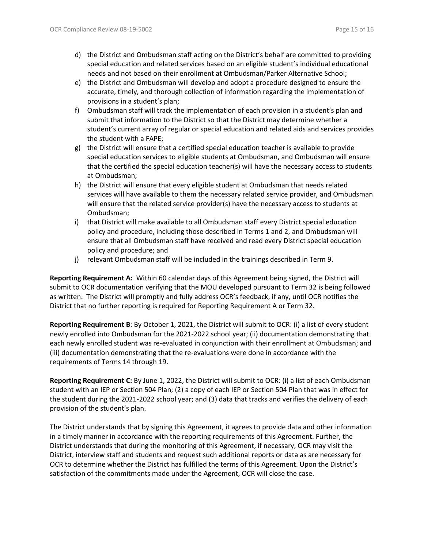- d) the District and Ombudsman staff acting on the District's behalf are committed to providing special education and related services based on an eligible student's individual educational needs and not based on their enrollment at Ombudsman/Parker Alternative School;
- e) the District and Ombudsman will develop and adopt a procedure designed to ensure the accurate, timely, and thorough collection of information regarding the implementation of provisions in a student's plan;
- f) Ombudsman staff will track the implementation of each provision in a student's plan and submit that information to the District so that the District may determine whether a student's current array of regular or special education and related aids and services provides the student with a FAPE;
- g) the District will ensure that a certified special education teacher is available to provide special education services to eligible students at Ombudsman, and Ombudsman will ensure that the certified the special education teacher(s) will have the necessary access to students at Ombudsman;
- h) the District will ensure that every eligible student at Ombudsman that needs related services will have available to them the necessary related service provider, and Ombudsman will ensure that the related service provider(s) have the necessary access to students at Ombudsman;
- i) that District will make available to all Ombudsman staff every District special education policy and procedure, including those described in Terms 1 and 2, and Ombudsman will ensure that all Ombudsman staff have received and read every District special education policy and procedure; and
- j) relevant Ombudsman staff will be included in the trainings described in Term 9.

**Reporting Requirement A:** Within 60 calendar days of this Agreement being signed, the District will submit to OCR documentation verifying that the MOU developed pursuant to Term 32 is being followed as written. The District will promptly and fully address OCR's feedback, if any, until OCR notifies the District that no further reporting is required for Reporting Requirement A or Term 32.

**Reporting Requirement B**: By October 1, 2021, the District will submit to OCR: (i) a list of every student newly enrolled into Ombudsman for the 2021-2022 school year; (ii) documentation demonstrating that each newly enrolled student was re-evaluated in conjunction with their enrollment at Ombudsman; and (iii) documentation demonstrating that the re-evaluations were done in accordance with the requirements of Terms 14 through 19.

**Reporting Requirement C:** By June 1, 2022, the District will submit to OCR: (i) a list of each Ombudsman student with an IEP or Section 504 Plan; (2) a copy of each IEP or Section 504 Plan that was in effect for the student during the 2021-2022 school year; and (3) data that tracks and verifies the delivery of each provision of the student's plan.

The District understands that by signing this Agreement, it agrees to provide data and other information in a timely manner in accordance with the reporting requirements of this Agreement. Further, the District understands that during the monitoring of this Agreement, if necessary, OCR may visit the District, interview staff and students and request such additional reports or data as are necessary for OCR to determine whether the District has fulfilled the terms of this Agreement. Upon the District's satisfaction of the commitments made under the Agreement, OCR will close the case.